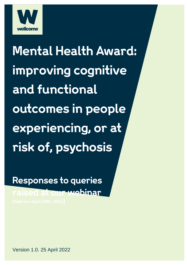

**Mental Health Award:** improving cognitive and functional outcomes in people experiencing, or at risk of, psychosis

Responses to queries raised at our webinar

Version 1.0. 25 April 2022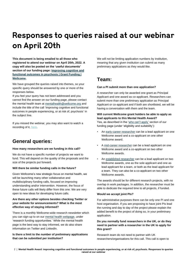# Responses to queries raised at our webinar on April 20th

**This document is being emailed to all those who registered to attend our webinar on April 20th, 2022. A copy will also be posted on the 'useful documents' section of our funding page[: Improving cognitive and](https://wellcome.org/grant-funding/schemes/improving-cognitive-and-functional-outcomes-psychosis)  [functional outcomes in psychosis | Grant Funding |](https://wellcome.org/grant-funding/schemes/improving-cognitive-and-functional-outcomes-psychosis)  [Wellcome.](https://wellcome.org/grant-funding/schemes/improving-cognitive-and-functional-outcomes-psychosis)**

We have grouped the queries raised into themes, so your specific query should be answered by one or more of the responses below.

If you feel your query has not been addressed and you cannot find the answer on our funding page, please contact the mental health team at [mentalhealth@wellcome.org](mailto:mentalhealth@wellcome.org) and include the title of the call 'Improving cognitive and functional outcomes in people experiencing, or at risk of, psychosis' in the subject line.

If you missed the webinar, you may also want to watch a recording of it, [here.](https://eur01.safelinks.protection.outlook.com/?url=https%3A%2F%2Fwww.youtube.com%2Fwatch%3Fv%3DPf3vXozWR8A&data=05%7C01%7CC.Hastings%40wellcome.org%7Cea36e7b7535c456c9b3608da286a94b9%7C3b7a675a1fc84983a100cc52b7647737%7C0%7C0%7C637866735490260843%7CUnknown%7CTWFpbGZsb3d8eyJWIjoiMC4wLjAwMDAiLCJQIjoiV2luMzIiLCJBTiI6Ik1haWwiLCJXVCI6Mn0%3D%7C3000%7C%7C%7C&sdata=FLbAXZDUe%2Fbi%2Fwn5VMCjTXYhPUx6ptCGGELxQr%2B1vVo%3D&reserved=0)

# **General queries:**

#### **How many researchers are we funding in this call?**

We do not have a specific number of projects we want to fund. This will depend on the quality of the proposals and the size of the projects put forward.

#### **Will there be similar funding calls in the future?**

Given Wellcome's new strategic focus on mental health, we will be launching many other collaborative and multidisciplinary funding calls, focused on improving understanding and/or intervention. However, the focus of these future calls will likely differ from this one. We are very open to new ideas for developing future calls.

#### **Are there any other options besides checking Twitter or your website for announcements? What is the most effective way of staying informed?**

There is a monthly Wellcome-wide research newsletter which you can sign-up to on our [mental health webpage,](https://wellcome.org/what-we-do/mental-health) under 'research funding opportunities.' While the mental health page is the best way to stay informed, we do also share information on Twitter and LinkedIn.

### **Is there a limit to the number of preliminary applications that can be submitted per institution?**

We will not be limiting application numbers by institution, meaning that any given institution can submit as many preliminary applications as they would like.

# **Team:**

#### **Can a PI submit more than one application?**

A researcher can only be awarded one grant as Principal Applicant and one award as co-applicant. Researchers can submit more than one preliminary application as Principal Applicant or co-applicant and if both are shortlisted, we will be having a conversation with them and the team.

#### **Will current Wellcome grant holders be able to apply as lead applicants to this Mental Health Award?**

Yes, as described in the ['who can't apply'](https://wellcome.org/grant-funding/schemes/improving-cognitive-and-functional-outcomes-psychosis#eligibility-and-suitability-4e87) section of our funding page (under 'eligibility and suitability'):

- A[n early-career researcher](https://wellcome.org/grant-funding/research-careers/stage-postdoctoral-research) can be a lead applicant on one Wellcome award and a co-applicant on one other Wellcome award.
- [A mid-career researcher](https://wellcome.org/grant-funding/research-careers/stage-leading-a-research-programme) can be a lead applicant on one Wellcome award and a co-applicant on two other Wellcome awards.
- A[n established researcher](https://wellcome.org/grant-funding/research-careers/stage-leading-a-research-programme) can be a lead applicant on two Wellcome awards, one as the sole applicant and one as lead applicant for a team, or both as the lead applicant for a team. They can also be a co-applicant on two other Wellcome awards.

The awards should be for different research projects, with no overlap in work packages. In addition, the researcher must be able to dedicate the required time to all projects, if funded.

#### **Would we accept joint PIs?**

For administrative purposes there can be only one PI and one host organisation. If you are proposing to have joint PIs lead the running and day to day of the project please explain the added benefit to the project of doing so, in your preliminary application.

# **Do you normally fund researchers in the UK, or do they need to partner with a researcher in the UK to apply for this grant?**

Research team do not need to partner with UK researchers/organisations for this call. This call is open to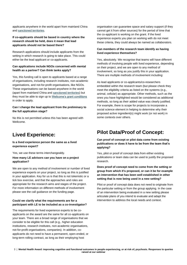applicants anywhere in the world apart from mainland China and [sanctioned territories.](https://wellcome.org/grant-funding/guidance/international-sanctions-how-they-affect-grants)

# **If co-applicants should be based in country where the research should be held, does it mean that lead applicants should not be based there?**

Research applications should include applicants from the setting in which research is going to take place. This could either be the lead applicant or co-applicants.

#### **Can applications include NGOs concerned with mental health as a partner? Can think tanks apply?**

Yes, this funding call is open to applicants based at a range of organisations, including research institutes, non-academic organisations, and not-for-profit organisations, like NGOs. These organisations can be based anywhere in the world (apart from mainland China and [sanctioned territories\)](https://wellcome.org/grant-funding/guidance/international-sanctions-how-they-affect-grants) but they must be able to sign up to [Wellcome's grant conditions](https://wellcome.org/grant-funding/guidance/grant-conditions) in order to apply.

#### **Can I change the lead applicant from the preliminary to the full application stage?**

No this is not permitted unless this has been agreed with Wellcome.

# **Lived Experience:**

**Is a lived experience person the same as a lived experience expert?** 

Yes, we use these terms interchangeably.

#### **How many LE advisors can you have on a project application?**

We are open to any method of involvement or number of lived experience experts on your project, so long as this is justified in your application. Key for us is that this is not tokenistic or a tick box exercise, and that the approaches and roles are appropriate for the research aims and stages of the project. For more information on different methods of involvement please see the call guidance on the funding page.

### **Could we clarify what the requirements are for a participant with LE to be included as a co-investigator?**

The requirements for lived experience experts to be coapplicants on the award are the same for all co-applicants on your team. There are a broad range of organisations that we consider to be eligible for this call (e.g., higher education institutions, research institutes, non-academic organisations, not-for-profit organisations, companies). In addition, coapplicants do not need to have a permanent, open-ended, or long-term rolling contract, as long as their employing host

organisation can guarantee space and salary support (if they cannot get it from other sources) for the period of time that the co-applicant is working on the grant. If the lived experience experts you plan on working with do not meet these criteria, they could always be named as collaborators.

### **Can members of the research team identify as having lived experience themselves?**

Yes, absolutely. We recognise that teams will have different methods of involving people with lived experience, depending on their project, and we are open to any method of involvement, so long as you justify this in your application. There are multiple methods of involvement including:

As lead applicants or co-applicants/co-researchers embedded within the research team (but please check they meet the eligibility criteria as listed on the systems (e.g., animal, cellular) as appropriate. Other methods, such as the ones you have highlighted would be considered as additional methods, so long as their added value was clearly justified. For example, there is scope for projects to incorporate a social science element in helping to determine why their proposed active ingredient(s) might work (or not work) in some contexts over others.

# **Pilot Data/Proof of Concept:**

**Can proof of concept or pilot data come from existing publications or does it have to be from the team that's applying?**

Yes, pilot or proof of concept data from either existing publications or team data can be used to justify the proposed research.

# **Does proof of concept need to come from the setting or group from which it's proposed, or can it be for example an intervention that has been well established in other setting that is now being used in a new setting?**

Pilot or proof of concept data does not need to originate from the particular setting or from the group applying. In the case of an intervention being evaluated in a new setting please articulate plans of you intend to evaluate and adapt the intervention to address the local needs and context.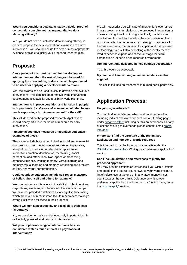## **Would you consider a qualitative study a useful proof of concept data despite not having quantitative data showing efficacy?**

Yes, you do not need quantitative data showing efficacy in order to propose the development and evaluation of a new intervention. You should include the best or most appropriate evidence available to justify your proposed research plan.

# **Proposal:**

**Can a period of the grant be used for developing an intervention and then the rest of the grant be used for applying the intervention, or does the whole grant need to be used for applying a developed intervention?**

Yes, the awards can be used flexibly to develop and evaluate interventions. This can include formative work, intervention development acceptability and feasibility work, pilot trials.

# **Intervention to improve cognition and function in people with psychosis for >5 years after onset, would that be too much supporting chronic management for the call?**

This will depend on the proposed research. Applications should clearly articulate the value of research for early intervention.

### **Functional/cognitive measures or cognitive outcomes – examples of these?**

These can include but are not limited to social and non-social outcomes such as: mental operations needed to perceive, interpret, and process information for adaptive social interactions emotion identification, mentalizing, social perception, and attributional bias, speed of processing, attention/vigilance, working memory, verbal learning and memory, visual learning and memory, reasoning and problem solving, and verbal comprehension.

# **Could cognitive outcomes include self-report measures of beliefs about self and others for example?**

Yes, mentalizing as this refers to the ability to infer intentions, dispositions, emotions, and beliefs of others is within scope. We have not provided a definitive list of cognitive functioning which are in/out of remit instead look to researchers making a strong justification for these in their proposal.

### **Would we look at acceptability and feasibility trials less favourably?**

No, we consider formative and pilot equally important for this call as fully powered evaluations of interventions.

**Will psychopharmacological interventions be also considered with as much interest as psychosocial interventions?**

We will not prioritise certain type of interventions over others in our assessment. In relation to the proposed intervention or markers of cognitive functioning specifically, decisions to shortlist and fund will be based on the main criteria outlined on our website: the unmet need and strength of evidence for the proposed work, the potential for impact and the proposed methodology. We will also be looking at the involvement of lived experience experts and at the full stage the team composition & expertise and research environment.

### **Are interventions delivered in field settings acceptable?**

Yes, this would be acceptable.

### **My team and I are working on animal models – is this eligible?**

This call is focused on research with human participants only.

# **Application Process:**

#### **Do you pay overheads?**

You can find information on what we do and do not offer including indirect and overhead costs on our funding page, unde[r 'what we offer,'](https://wellcome.org/grant-funding/schemes/improving-cognitive-and-functional-outcomes-psychosis#what-we-offer-5b45) including details on overheads. For any questions relating to overheads please contact email [grants](https://wellcome.org/who-we-are/contact-us/funding-enquiry)  [info desk](https://wellcome.org/who-we-are/contact-us/funding-enquiry)

### **Where can I find the structure of the preliminary application and number of words required?**

This information can be found on our website under the ['Eligibility and suitability](https://wellcome.org/grant-funding/schemes/improving-cognitive-and-functional-outcomes-psychosis#eligibility-and-suitability-4e87) - Writing your preliminary application' section.

### **Can I include citations and references to justify the proposed approach?**

You may provide citations or references if you wish. Citations embedded in the text will count towards your word limit but a list of references at the end or in any attachment will not count towards the word limit. Guidance on writing your preliminary application is included on our funding page, under the ['how to apply'](https://wellcome.org/grant-funding/schemes/improving-cognitive-and-functional-outcomes-psychosis#how-to-apply-0585) section.